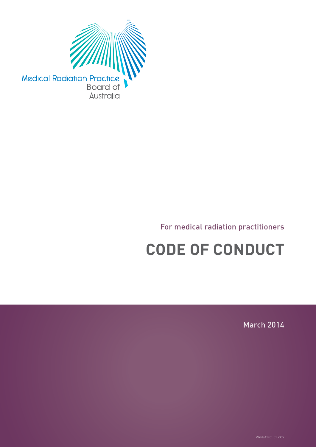

### For medical radiation practitioners

# **CODE OF CONDUCT**

March 2014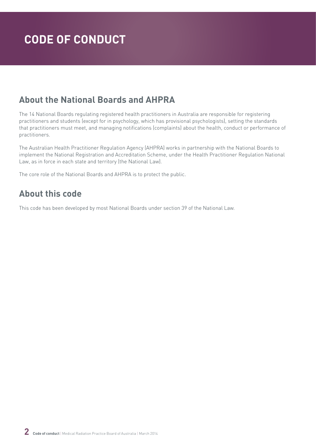### **About the National Boards and AHPRA**

The 14 National Boards regulating registered health practitioners in Australia are responsible for registering practitioners and students (except for in psychology, which has provisional psychologists), setting the standards that practitioners must meet, and managing notifications (complaints) about the health, conduct or performance of practitioners.

The Australian Health Practitioner Regulation Agency (AHPRA) works in partnership with the National Boards to implement the National Registration and Accreditation Scheme, under the Health Practitioner Regulation National Law, as in force in each state and territory (the National Law).

The core role of the National Boards and AHPRA is to protect the public.

### **About this code**

This code has been developed by most National Boards under section 39 of the National Law.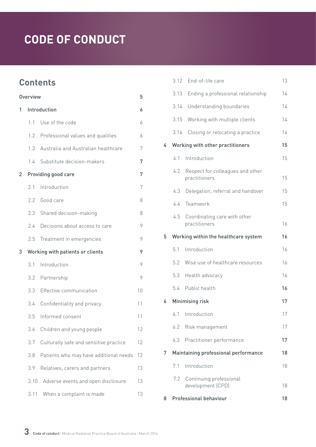### **Contents**

| Overview |              |                                        | 5  |
|----------|--------------|----------------------------------------|----|
| 1        | Introduction |                                        |    |
|          | 11           | Use of the code                        | 6  |
|          | 1.2          | Professional values and qualities      | 6  |
|          | 1.3          | Australia and Australian healthcare    | 7  |
|          | 1.4          | Substitute decision-makers             | 7  |
| 2        |              | Providing good care                    | 7  |
|          | 2.1          | Introduction                           | 7  |
|          | 2.2          | Good care                              | 8  |
|          | 2.3          | Shared decision-making                 | 8  |
|          | 2.4          | Decisions about access to care         | 9  |
|          | 2.5          | Treatment in emergencies               | 9  |
| 3        |              | Working with patients or clients       | 9  |
|          | 3.1          | Introduction                           | 9  |
|          | 3.2          | Partnership                            | 9  |
|          | 3.3          | Effective communication                | 10 |
|          | 3.4          | Confidentiality and privacy            | 11 |
|          | 3.5          | Informed consent                       | 11 |
|          | 3.6          | Children and young people              | 12 |
|          | 3.7          | Culturally safe and sensitive practice | 12 |
|          | 3.8          | Patients who may have additional needs | 12 |
|          | 3.9          | Relatives, carers and partners         | 13 |
|          | 3.10         | Adverse events and open disclosure     | 13 |
|          | 3.11         | When a complaint is made               | 13 |

|   |      | 3.12 End-of-life care                             | 13 |
|---|------|---------------------------------------------------|----|
|   | 3.13 | Ending a professional relationship                | 14 |
|   | 3.14 | Understanding boundaries                          | 14 |
|   | 3.15 | Working with multiple clients                     | 14 |
|   | 3.16 | Closing or relocating a practice                  | 14 |
| 4 |      | Working with other practitioners                  | 15 |
|   | 4.1  | Introduction                                      | 15 |
|   | 4.2  | Respect for colleagues and other<br>practitioners | 15 |
|   | 4.3  | Delegation, referral and handover                 | 15 |
|   | 4.4  | Teamwork                                          | 15 |
|   | 4.5  | Coordinating care with other<br>practitioners     | 16 |
| 5 |      | Working within the healthcare system              | 16 |
|   | 5.1  | Introduction                                      | 16 |
|   | 5.2  | Wise use of healthcare resources                  | 16 |
|   | 5.3  | Health advocacy                                   | 16 |
|   |      | 5.4 Public health                                 | 16 |
| 6 |      | Minimising risk                                   | 17 |
|   | 6.1  | Introduction                                      | 17 |
|   | 6.2  | Risk management                                   | 17 |
|   | 6.3  | Practitioner performance                          | 17 |
| 7 |      | Maintaining professional performance              | 18 |
|   | 7.1  | Introduction                                      | 18 |
|   | 7.2  | Continuing professional<br>development (CPD)      | 18 |
| 8 |      | Professional behaviour                            | 18 |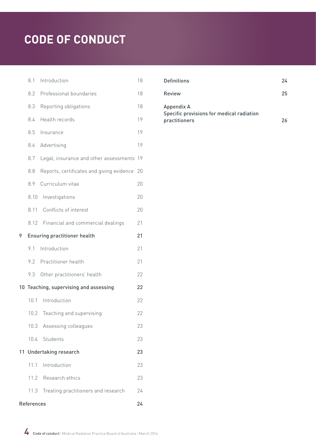|   | 8.1        | Introduction                              | 18 |  |  |
|---|------------|-------------------------------------------|----|--|--|
|   | 8.2        | Professional boundaries                   | 18 |  |  |
|   | 8.3        | Reporting obligations                     | 18 |  |  |
|   | 8.4        | Health records                            | 19 |  |  |
|   | 8.5        | Insurance                                 | 19 |  |  |
|   | 8.6        | Advertising                               | 19 |  |  |
|   | 8.7        | Legal, insurance and other assessments    | 19 |  |  |
|   | 8.8        | Reports, certificates and giving evidence | 20 |  |  |
|   | 8.9        | Curriculum vitae                          | 20 |  |  |
|   | 8.10       | Investigations                            | 20 |  |  |
|   | 8.11       | Conflicts of interest                     | 20 |  |  |
|   | 8.12       | Financial and commercial dealings         | 21 |  |  |
| 9 |            | <b>Ensuring practitioner health</b>       | 21 |  |  |
|   | 9.1        | Introduction                              | 21 |  |  |
|   | 9.2        | Practitioner health                       | 21 |  |  |
|   | 9.3        | Other practitioners' health               | 22 |  |  |
|   |            | 10 Teaching, supervising and assessing    | 22 |  |  |
|   | 10.1       | Introduction                              | 22 |  |  |
|   | 10.2       | Teaching and supervising                  | 22 |  |  |
|   |            | 10.3 Assessing colleagues                 | 23 |  |  |
|   |            | 10.4 Students                             | 23 |  |  |
|   |            | 11 Undertaking research                   | 23 |  |  |
|   | 11.1       | Introduction                              | 23 |  |  |
|   |            | 11.2 Research ethics                      | 23 |  |  |
|   | 11.3       | Treating practitioners and research       | 24 |  |  |
|   | References |                                           |    |  |  |

| Definitions                                             | 24 |
|---------------------------------------------------------|----|
| Review                                                  | 25 |
| Appendix A<br>Specific provisions for medical radiation |    |
| practitioners                                           | つん |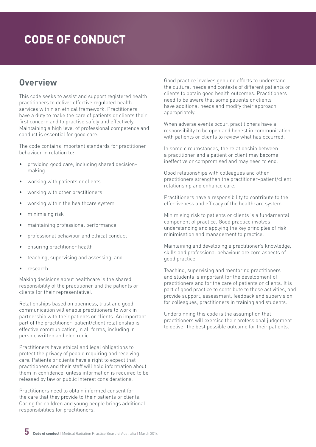### <span id="page-4-0"></span>**Overview**

This code seeks to assist and support registered health practitioners to deliver effective regulated health services within an ethical framework. Practitioners have a duty to make the care of patients or clients their first concern and to practise safely and effectively. Maintaining a high level of professional competence and conduct is essential for good care.

The code contains important standards for practitioner behaviour in relation to:

- providing good care, including shared decisionmaking
- working with patients or clients
- working with other practitioners
- working within the healthcare system
- minimising risk
- maintaining professional performance
- professional behaviour and ethical conduct
- ensuring practitioner health
- teaching, supervising and assessing, and
- research.

Making decisions about healthcare is the shared responsibility of the practitioner and the patients or clients (or their representative).

Relationships based on openness, trust and good communication will enable practitioners to work in partnership with their patients or clients. An important part of the practitioner–patient/client relationship is effective communication, in all forms, including in person, written and electronic.

Practitioners have ethical and legal obligations to protect the privacy of people requiring and receiving care. Patients or clients have a right to expect that practitioners and their staff will hold information about them in confidence, unless information is required to be released by law or public interest considerations.

Practitioners need to obtain informed consent for the care that they provide to their patients or clients. Caring for children and young people brings additional responsibilities for practitioners.

Good practice involves genuine efforts to understand the cultural needs and contexts of different patients or clients to obtain good health outcomes. Practitioners need to be aware that some patients or clients have additional needs and modify their approach appropriately.

When adverse events occur, practitioners have a responsibility to be open and honest in communication with patients or clients to review what has occurred.

In some circumstances, the relationship between a practitioner and a patient or client may become ineffective or compromised and may need to end.

Good relationships with colleagues and other practitioners strengthen the practitioner–patient/client relationship and enhance care.

Practitioners have a responsibility to contribute to the effectiveness and efficacy of the healthcare system.

Minimising risk to patients or clients is a fundamental component of practice. Good practice involves understanding and applying the key principles of risk minimisation and management to practice.

Maintaining and developing a practitioner's knowledge, skills and professional behaviour are core aspects of good practice.

Teaching, supervising and mentoring practitioners and students is important for the development of practitioners and for the care of patients or clients. It is part of good practice to contribute to these activities, and provide support, assessment, feedback and supervision for colleagues, practitioners in training and students.

Underpinning this code is the assumption that practitioners will exercise their professional judgement to deliver the best possible outcome for their patients.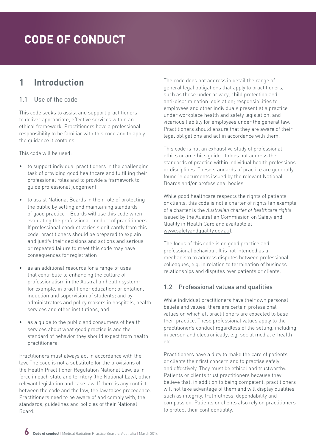### <span id="page-5-0"></span>**1 Introduction**

#### 1.1 Use of the code

This code seeks to assist and support practitioners to deliver appropriate, effective services within an ethical framework. Practitioners have a professional responsibility to be familiar with this code and to apply the guidance it contains.

This code will be used:

- to support individual practitioners in the challenging task of providing good healthcare and fulfilling their professional roles and to provide a framework to guide professional judgement
- to assist National Boards in their role of protecting the public by setting and maintaining standards of good practice – Boards will use this code when evaluating the professional conduct of practitioners. If professional conduct varies significantly from this code, practitioners should be prepared to explain and justify their decisions and actions and serious or repeated failure to meet this code may have consequences for registration
- as an additional resource for a range of uses that contribute to enhancing the culture of professionalism in the Australian health system: for example, in practitioner education; orientation, induction and supervision of students; and by administrators and policy makers in hospitals, health services and other institutions, and
- as a quide to the public and consumers of health services about what good practice is and the standard of behavior they should expect from health practitioners.

Practitioners must always act in accordance with the law. The code is not a substitute for the provisions of the Health Practitioner Regulation National Law, as in force in each state and territory (the National Law), other relevant legislation and case law. If there is any conflict between the code and the law, the law takes precedence. Practitioners need to be aware of and comply with, the standards, guidelines and policies of their National Board.

The code does not address in detail the range of general legal obligations that apply to practitioners, such as those under privacy, child protection and anti-discrimination legislation; responsibilities to employees and other individuals present at a practice under workplace health and safety legislation; and vicarious liability for employees under the general law. Practitioners should ensure that they are aware of their legal obligations and act in accordance with them.

This code is not an exhaustive study of professional ethics or an ethics guide. It does not address the standards of practice within individual health professions or disciplines. These standards of practice are generally found in documents issued by the relevant National Boards and/or professional bodies.

While good healthcare respects the rights of patients or clients, this code is not a charter of rights (an example of a charter is the *Australian charter of healthcare rights* issued by the Australian Commission on Safety and Quality in Health Care and available at [www.safetyandquality.gov.au\)](http://www.safetyandquality.gov.au).

The focus of this code is on good practice and professional behaviour. It is not intended as a mechanism to address disputes between professional colleagues, e.g. in relation to termination of business relationships and disputes over patients or clients.

### 1.2 Professional values and qualities

While individual practitioners have their own personal beliefs and values, there are certain professional values on which all practitioners are expected to base their practice. These professional values apply to the practitioner's conduct regardless of the setting, including in person and electronically, e.g. social media, e-health etc.

Practitioners have a duty to make the care of patients or clients their first concern and to practise safely and effectively. They must be ethical and trustworthy. Patients or clients trust practitioners because they believe that, in addition to being competent, practitioners will not take advantage of them and will display qualities such as integrity, truthfulness, dependability and compassion. Patients or clients also rely on practitioners to protect their confidentiality.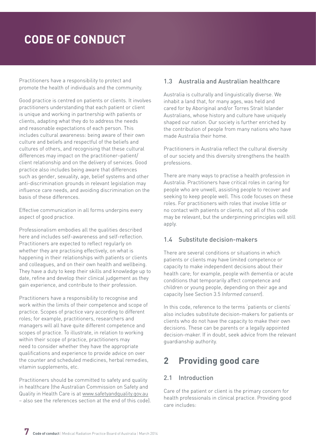<span id="page-6-0"></span>Practitioners have a responsibility to protect and promote the health of individuals and the community.

Good practice is centred on patients or clients. It involves practitioners understanding that each patient or client is unique and working in partnership with patients or clients, adapting what they do to address the needs and reasonable expectations of each person. This includes cultural awareness: being aware of their own culture and beliefs and respectful of the beliefs and cultures of others, and recognising that these cultural differences may impact on the practitioner–patient/ client relationship and on the delivery of services. Good practice also includes being aware that differences such as gender, sexuality, age, belief systems and other anti-discrimination grounds in relevant legislation may influence care needs, and avoiding discrimination on the basis of these differences.

Effective communication in all forms underpins every aspect of good practice.

Professionalism embodies all the qualities described here and includes self-awareness and self-reflection. Practitioners are expected to reflect regularly on whether they are practising effectively, on what is happening in their relationships with patients or clients and colleagues, and on their own health and wellbeing. They have a duty to keep their skills and knowledge up to date, refine and develop their clinical judgement as they gain experience, and contribute to their profession.

Practitioners have a responsibility to recognise and work within the limits of their competence and scope of practice. Scopes of practice vary according to different roles; for example, practitioners, researchers and managers will all have quite different competence and scopes of practice. To illustrate, in relation to working within their scope of practice, practitioners may need to consider whether they have the appropriate qualifications and experience to provide advice on over the counter and scheduled medicines, herbal remedies, vitamin supplements, etc.

Practitioners should be committed to safety and quality in healthcare (the Australian Commission on Safety and Quality in Health Care is at [www.safetyandquality.gov.au](http://www.safetyandquality.gov.au) – also see the references section at the end of this code).

### 1.3 Australia and Australian healthcare

Australia is culturally and linguistically diverse. We inhabit a land that, for many ages, was held and cared for by Aboriginal and/or Torres Strait Islander Australians, whose history and culture have uniquely shaped our nation. Our society is further enriched by the contribution of people from many nations who have made Australia their home.

Practitioners in Australia reflect the cultural diversity of our society and this diversity strengthens the health professions.

There are many ways to practise a health profession in Australia. Practitioners have critical roles in caring for people who are unwell, assisting people to recover and seeking to keep people well. This code focuses on these roles. For practitioners with roles that involve little or no contact with patients or clients, not all of this code may be relevant, but the underpinning principles will still apply.

### 1.4 Substitute decision-makers

There are several conditions or situations in which patients or clients may have limited competence or capacity to make independent decisions about their health care; for example, people with dementia or acute conditions that temporarily affect competence and children or young people, depending on their age and capacity (see Section 3.5 *Informed consent*).

In this code, reference to the terms 'patients or clients' also includes substitute decision-makers for patients or clients who do not have the capacity to make their own decisions. These can be parents or a legally appointed decision-maker. If in doubt, seek advice from the relevant guardianship authority.

### **2 Providing good care**

### 2.1 Introduction

Care of the patient or client is the primary concern for health professionals in clinical practice. Providing good care includes: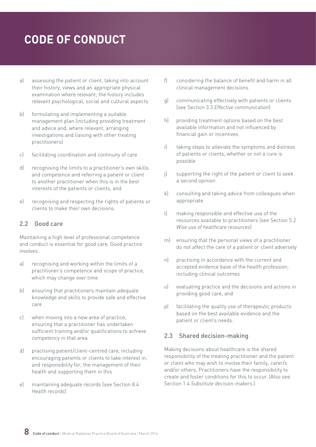- <span id="page-7-0"></span>a) assessing the patient or client, taking into account their history, views and an appropriate physical examination where relevant; the history includes relevant psychological, social and cultural aspects
- b) formulating and implementing a suitable management plan (including providing treatment and advice and, where relevant, arranging investigations and liaising with other treating practitioners)
- c) facilitating coordination and continuity of care
- d) recognising the limits to a practitioner's own skills and competence and referring a patient or client to another practitioner when this is in the best interests of the patients or clients, and
- e) recognising and respecting the rights of patients or clients to make their own decisions.

#### 2.2 Good care

Maintaining a high level of professional competence and conduct is essential for good care. Good practice involves:

- a) recognising and working within the limits of a practitioner's competence and scope of practice, which may change over time
- b) ensuring that practitioners maintain adequate knowledge and skills to provide safe and effective care
- c) when moving into a new area of practice, ensuring that a practitioner has undertaken sufficient training and/or qualifications to achieve competency in that area
- d) practising patient/client-centred care, including encouraging patients or clients to take interest in, and responsibility for, the management of their health and supporting them in this
- e) maintaining adequate records (see Section 8.4 *Health records*)
- f) considering the balance of benefit and harm in all clinical management decisions
- g) communicating effectively with patients or clients (see Section 3.3 *Effective communication*)
- h) providing treatment options based on the best available information and not influenced by financial gain or incentives
- i) taking steps to alleviate the symptoms and distress of patients or clients, whether or not a cure is possible
- j) supporting the right of the patient or client to seek a second opinion
- k) consulting and taking advice from colleagues when appropriate
- l) making responsible and effective use of the resources available to practitioners (see Section 5.2 *Wise use of healthcare resources*)
- m) ensuring that the personal views of a practitioner do not affect the care of a patient or client adversely
- n) practising in accordance with the current and accepted evidence base of the health profession, including clinical outcomes
- o) evaluating practice and the decisions and actions in providing good care, and
- p) facilitating the quality use of therapeutic products based on the best available evidence and the patient or client's needs.

### 2.3 Shared decision-making

Making decisions about healthcare is the shared responsibility of the treating practitioner and the patient or client who may wish to involve their family, carer/s and/or others. Practitioners have the responsibility to create and foster conditions for this to occur. (Also see Section 1.4 *Substitute decision-makers.*)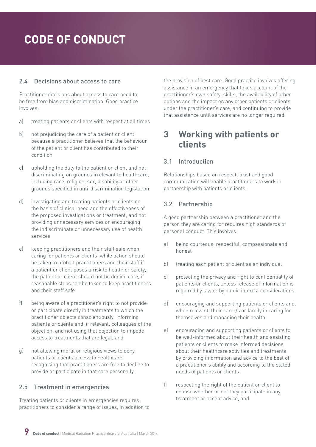#### <span id="page-8-0"></span>2.4 Decisions about access to care

Practitioner decisions about access to care need to be free from bias and discrimination. Good practice involves:

- a) treating patients or clients with respect at all times
- b) not prejudicing the care of a patient or client because a practitioner believes that the behaviour of the patient or client has contributed to their condition
- c) upholding the duty to the patient or client and not discriminating on grounds irrelevant to healthcare, including race, religion, sex, disability or other grounds specified in anti-discrimination legislation
- d) investigating and treating patients or clients on the basis of clinical need and the effectiveness of the proposed investigations or treatment, and not providing unnecessary services or encouraging the indiscriminate or unnecessary use of health services
- e) keeping practitioners and their staff safe when caring for patients or clients; while action should be taken to protect practitioners and their staff if a patient or client poses a risk to health or safety, the patient or client should not be denied care, if reasonable steps can be taken to keep practitioners and their staff safe
- f) being aware of a practitioner's right to not provide or participate directly in treatments to which the practitioner objects conscientiously, informing patients or clients and, if relevant, colleagues of the objection, and not using that objection to impede access to treatments that are legal, and
- g) not allowing moral or religious views to deny patients or clients access to healthcare, recognising that practitioners are free to decline to provide or participate in that care personally.

### 2.5 Treatment in emergencies

Treating patients or clients in emergencies requires practitioners to consider a range of issues, in addition to the provision of best care. Good practice involves offering assistance in an emergency that takes account of the practitioner's own safety, skills, the availability of other options and the impact on any other patients or clients under the practitioner's care, and continuing to provide that assistance until services are no longer required.

### **3 Working with patients or clients**

### 3.1 Introduction

Relationships based on respect, trust and good communication will enable practitioners to work in partnership with patients or clients.

### 3.2 Partnership

A good partnership between a practitioner and the person they are caring for requires high standards of personal conduct. This involves:

- a) being courteous, respectful, compassionate and honest
- b) treating each patient or client as an individual
- c) protecting the privacy and right to confidentiality of patients or clients, unless release of information is required by law or by public interest considerations
- d) encouraging and supporting patients or clients and, when relevant, their carer/s or family in caring for themselves and managing their health
- e) encouraging and supporting patients or clients to be well-informed about their health and assisting patients or clients to make informed decisions about their healthcare activities and treatments by providing information and advice to the best of a practitioner's ability and according to the stated needs of patients or clients
- f) respecting the right of the patient or client to choose whether or not they participate in any treatment or accept advice, and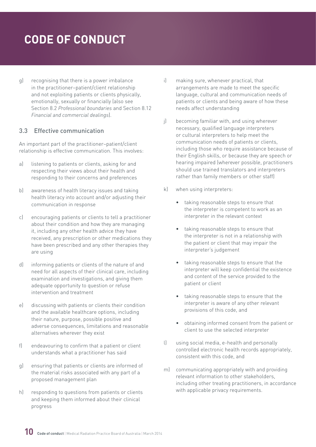<span id="page-9-0"></span>g) recognising that there is a power imbalance in the practitioner–patient/client relationship and not exploiting patients or clients physically, emotionally, sexually or financially (also see Section 8.2 *Professional boundaries* and Section 8.12 *Financial and commercial dealings*).

#### 3.3 Effective communication

An important part of the practitioner–patient/client relationship is effective communication. This involves:

- a) listening to patients or clients, asking for and respecting their views about their health and responding to their concerns and preferences
- b) awareness of health literacy issues and taking health literacy into account and/or adjusting their communication in response
- c) encouraging patients or clients to tell a practitioner about their condition and how they are managing it, including any other health advice they have received, any prescription or other medications they have been prescribed and any other therapies they are using
- d) informing patients or clients of the nature of and need for all aspects of their clinical care, including examination and investigations, and giving them adequate opportunity to question or refuse intervention and treatment
- e) discussing with patients or clients their condition and the available healthcare options, including their nature, purpose, possible positive and adverse consequences, limitations and reasonable alternatives wherever they exist
- f) endeavouring to confirm that a patient or client understands what a practitioner has said
- g) ensuring that patients or clients are informed of the material risks associated with any part of a proposed management plan
- h) responding to questions from patients or clients and keeping them informed about their clinical progress
- i) making sure, whenever practical, that arrangements are made to meet the specific language, cultural and communication needs of patients or clients and being aware of how these needs affect understanding
- j) becoming familiar with, and using wherever necessary, qualified language interpreters or cultural interpreters to help meet the communication needs of patients or clients, including those who require assistance because of their English skills, or because they are speech or hearing impaired (wherever possible, practitioners should use trained translators and interpreters rather than family members or other staff)
- k) when using interpreters:
	- taking reasonable steps to ensure that the interpreter is competent to work as an interpreter in the relevant context
	- taking reasonable steps to ensure that the interpreter is not in a relationship with the patient or client that may impair the interpreter's judgement
	- taking reasonable steps to ensure that the interpreter will keep confidential the existence and content of the service provided to the patient or client
	- taking reasonable steps to ensure that the interpreter is aware of any other relevant provisions of this code, and
	- obtaining informed consent from the patient or client to use the selected interpreter
- l) using social media, e-health and personally controlled electronic health records appropriately, consistent with this code, and
- m) communicating appropriately with and providing relevant information to other stakeholders, including other treating practitioners, in accordance with applicable privacy requirements.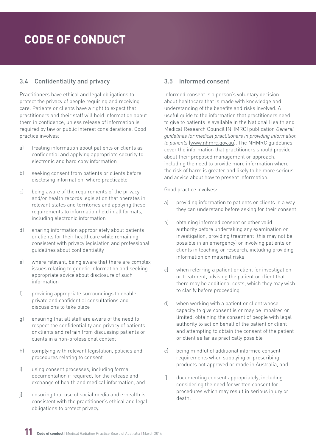### <span id="page-10-0"></span>3.4 Confidentiality and privacy

Practitioners have ethical and legal obligations to protect the privacy of people requiring and receiving care. Patients or clients have a right to expect that practitioners and their staff will hold information about them in confidence, unless release of information is required by law or public interest considerations. Good practice involves:

- a) treating information about patients or clients as confidential and applying appropriate security to electronic and hard copy information
- b) seeking consent from patients or clients before disclosing information, where practicable
- c) being aware of the requirements of the privacy and/or health records legislation that operates in relevant states and territories and applying these requirements to information held in all formats, including electronic information
- d) sharing information appropriately about patients or clients for their healthcare while remaining consistent with privacy legislation and professional guidelines about confidentiality
- e) where relevant, being aware that there are complex issues relating to genetic information and seeking appropriate advice about disclosure of such information
- f) providing appropriate surroundings to enable private and confidential consultations and discussions to take place
- g) ensuring that all staff are aware of the need to respect the confidentiality and privacy of patients or clients and refrain from discussing patients or clients in a non-professional context
- h) complying with relevant legislation, policies and procedures relating to consent
- i) using consent processes, including formal documentation if required, for the release and exchange of health and medical information, and
- j) ensuring that use of social media and e-health is consistent with the practitioner's ethical and legal obligations to protect privacy.

### 3.5 Informed consent

Informed consent is a person's voluntary decision about healthcare that is made with knowledge and understanding of the benefits and risks involved. A useful guide to the information that practitioners need to give to patients is available in the National Health and Medical Research Council (NHMRC) publication *General guidelines for medical practitioners in providing information to patients* ([www.nhmrc.gov.au](file:///C:\Users\helen\AppData\Local\Microsoft\Windows\Temporary Internet Files\Content.Outlook\LLROZHLU\Early and multiple versions\www.nhmrc.gov.au)). The NHMRC guidelines cover the information that practitioners should provide about their proposed management or approach, including the need to provide more information where the risk of harm is greater and likely to be more serious and advice about how to present information.

- a) providing information to patients or clients in a way they can understand before asking for their consent
- b) obtaining informed consent or other valid authority before undertaking any examination or investigation, providing treatment (this may not be possible in an emergency) or involving patients or clients in teaching or research, including providing information on material risks
- c) when referring a patient or client for investigation or treatment, advising the patient or client that there may be additional costs, which they may wish to clarify before proceeding
- d) when working with a patient or client whose capacity to give consent is or may be impaired or limited, obtaining the consent of people with legal authority to act on behalf of the patient or client and attempting to obtain the consent of the patient or client as far as practically possible
- e) being mindful of additional informed consent requirements when supplying or prescribing products not approved or made in Australia, and
- f) documenting consent appropriately, including considering the need for written consent for procedures which may result in serious injury or death.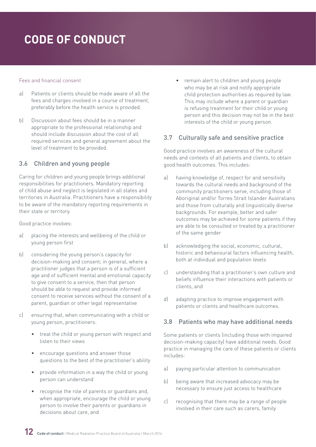#### <span id="page-11-0"></span>Fees and financial consent

- a) Patients or clients should be made aware of all the fees and charges involved in a course of treatment, preferably before the health service is provided.
- b) Discussion about fees should be in a manner appropriate to the professional relationship and should include discussion about the cost of all required services and general agreement about the level of treatment to be provided.

### 3.6 Children and young people

Caring for children and young people brings additional responsibilities for practitioners. Mandatory reporting of child abuse and neglect is legislated in all states and territories in Australia. Practitioners have a responsibility to be aware of the mandatory reporting requirements in their state or territory.

Good practice involves:

- a) placing the interests and wellbeing of the child or young person first
- b) considering the young person's capacity for decision-making and consent; in general, where a practitioner judges that a person is of a sufficient age and of sufficient mental and emotional capacity to give consent to a service, then that person should be able to request and provide informed consent to receive services without the consent of a parent, guardian or other legal representative
- c) ensuring that, when communicating with a child or young person, practitioners:
	- treat the child or young person with respect and listen to their views
	- encourage questions and answer those questions to the best of the practitioner's ability
	- provide information in a way the child or young person can understand
	- recognise the role of parents or guardians and, when appropriate, encourage the child or young person to involve their parents or guardians in decisions about care, and

• remain alert to children and young people who may be at risk and notify appropriate child protection authorities as required by law. This may include where a parent or guardian is refusing treatment for their child or young person and this decision may not be in the best interests of the child or young person.

#### 3.7 Culturally safe and sensitive practice

Good practice involves an awareness of the cultural needs and contexts of all patients and clients, to obtain good health outcomes. This includes:

- a) having knowledge of, respect for and sensitivity towards the cultural needs and background of the community practitioners serve, including those of Aboriginal and/or Torres Strait Islander Australians and those from culturally and linguistically diverse backgrounds. For example, better and safer outcomes may be achieved for some patients if they are able to be consulted or treated by a practitioner of the same gender
- b) acknowledging the social, economic, cultural, historic and behavioural factors influencing health, both at individual and population levels
- c) understanding that a practitioner's own culture and beliefs influence their interactions with patients or clients, and
- d) adapting practice to improve engagement with patients or clients and healthcare outcomes.

### 3.8 Patients who may have additional needs

Some patients or clients (including those with impaired decision-making capacity) have additional needs. Good practice in managing the care of these patients or clients includes:

- a) paying particular attention to communication
- b) being aware that increased advocacy may be necessary to ensure just access to healthcare
- c) recognising that there may be a range of people involved in their care such as carers, family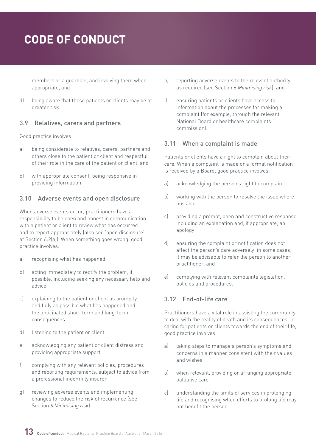<span id="page-12-0"></span>members or a guardian, and involving them when appropriate, and

d) being aware that these patients or clients may be at greater risk.

#### 3.9 Relatives, carers and partners

Good practice involves:

- a) being considerate to relatives, carers, partners and others close to the patient or client and respectful of their role in the care of the patient or client, and
- b) with appropriate consent, being responsive in providing information.

#### 3.10 Adverse events and open disclosure

When adverse events occur, practitioners have a responsibility to be open and honest in communication with a patient or client to review what has occurred and to report appropriately (also see 'open disclosure' at Section 6.2(a)). When something goes wrong, good practice involves:

- a) recognising what has happened
- b) acting immediately to rectify the problem, if possible, including seeking any necessary help and advice
- c) explaining to the patient or client as promptly and fully as possible what has happened and the anticipated short-term and long-term consequences
- d) listening to the patient or client
- e) acknowledging any patient or client distress and providing appropriate support
- f) complying with any relevant policies, procedures and reporting requirements, subject to advice from a professional indemnity insurer
- g) reviewing adverse events and implementing changes to reduce the risk of recurrence (see Section 6 *Minimising risk*)
- h) reporting adverse events to the relevant authority as required (see Section 6 *Minimising risk*), and
- i) ensuring patients or clients have access to information about the processes for making a complaint (for example, through the relevant National Board or healthcare complaints commission).

#### 3.11 When a complaint is made

Patients or clients have a right to complain about their care. When a complaint is made or a formal notification is received by a Board, good practice involves:

- a) acknowledging the person's right to complain
- b) working with the person to resolve the issue where possible
- c) providing a prompt, open and constructive response including an explanation and, if appropriate, an apology
- d) ensuring the complaint or notification does not affect the person's care adversely; in some cases, it may be advisable to refer the person to another practitioner, and
- e) complying with relevant complaints legislation, policies and procedures.

### 3.12 End-of-life care

Practitioners have a vital role in assisting the community to deal with the reality of death and its consequences. In caring for patients or clients towards the end of their life, good practice involves:

- a) taking steps to manage a person's symptoms and concerns in a manner consistent with their values and wishes
- b) when relevant, providing or arranging appropriate palliative care
- c) understanding the limits of services in prolonging life and recognising when efforts to prolong life may not benefit the person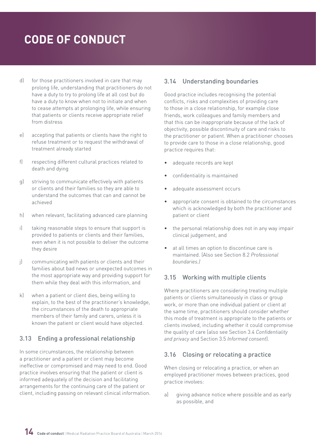- <span id="page-13-0"></span>d) for those practitioners involved in care that may prolong life, understanding that practitioners do not have a duty to try to prolong life at all cost but do have a duty to know when not to initiate and when to cease attempts at prolonging life, while ensuring that patients or clients receive appropriate relief from distress
- e) accepting that patients or clients have the right to refuse treatment or to request the withdrawal of treatment already started
- f) respecting different cultural practices related to death and dying
- g) striving to communicate effectively with patients or clients and their families so they are able to understand the outcomes that can and cannot be achieved
- h) when relevant, facilitating advanced care planning
- i) taking reasonable steps to ensure that support is provided to patients or clients and their families, even when it is not possible to deliver the outcome they desire
- j) communicating with patients or clients and their families about bad news or unexpected outcomes in the most appropriate way and providing support for them while they deal with this information, and
- k) when a patient or client dies, being willing to explain, to the best of the practitioner's knowledge, the circumstances of the death to appropriate members of their family and carers, unless it is known the patient or client would have objected.

### 3.13 Ending a professional relationship

In some circumstances, the relationship between a practitioner and a patient or client may become ineffective or compromised and may need to end. Good practice involves ensuring that the patient or client is informed adequately of the decision and facilitating arrangements for the continuing care of the patient or client, including passing on relevant clinical information.

### 3.14 Understanding boundaries

Good practice includes recognising the potential conflicts, risks and complexities of providing care to those in a close relationship, for example close friends, work colleagues and family members and that this can be inappropriate because of the lack of objectivity, possible discontinuity of care and risks to the practitioner or patient. When a practitioner chooses to provide care to those in a close relationship, good practice requires that:

- adequate records are kept
- confidentiality is maintained
- adequate assessment occurs
- appropriate consent is obtained to the circumstances which is acknowledged by both the practitioner and patient or client
- the personal relationship does not in any way impair clinical judgement, and
- at all times an option to discontinue care is maintained. (Also see Section 8.2 *Professional boundaries.)*

### 3.15 Working with multiple clients

Where practitioners are considering treating multiple patients or clients simultaneously in class or group work, or more than one individual patient or client at the same time, practitioners should consider whether this mode of treatment is appropriate to the patients or clients involved, including whether it could compromise the quality of care (also see Section 3.4 *Confidentiality and privacy* and Section 3.5 *Informed consent*).

### 3.16 Closing or relocating a practice

When closing or relocating a practice, or when an employed practitioner moves between practices, good practice involves:

a) giving advance notice where possible and as early as possible, and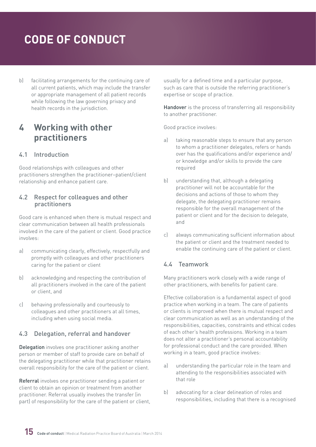<span id="page-14-0"></span>b) facilitating arrangements for the continuing care of all current patients, which may include the transfer or appropriate management of all patient records while following the law governing privacy and health records in the jurisdiction.

### **4 Working with other practitioners**

### 4.1 Introduction

Good relationships with colleagues and other practitioners strengthen the practitioner–patient/client relationship and enhance patient care.

#### 4.2 Respect for colleagues and other practitioners

Good care is enhanced when there is mutual respect and clear communication between all health professionals involved in the care of the patient or client. Good practice involves:

- a) communicating clearly, effectively, respectfully and promptly with colleagues and other practitioners caring for the patient or client
- b) acknowledging and respecting the contribution of all practitioners involved in the care of the patient or client, and
- c) behaving professionally and courteously to colleagues and other practitioners at all times, including when using social media.

### 4.3 Delegation, referral and handover

Delegation involves one practitioner asking another person or member of staff to provide care on behalf of the delegating practitioner while that practitioner retains overall responsibility for the care of the patient or client.

Referral involves one practitioner sending a patient or client to obtain an opinion or treatment from another practitioner. Referral usually involves the transfer (in part) of responsibility for the care of the patient or client, usually for a defined time and a particular purpose, such as care that is outside the referring practitioner's expertise or scope of practice.

Handover is the process of transferring all responsibility to another practitioner.

Good practice involves:

- a) taking reasonable steps to ensure that any person to whom a practitioner delegates, refers or hands over has the qualifications and/or experience and/ or knowledge and/or skills to provide the care required
- b) understanding that, although a delegating practitioner will not be accountable for the decisions and actions of those to whom they delegate, the delegating practitioner remains responsible for the overall management of the patient or client and for the decision to delegate, and
- c) always communicating sufficient information about the patient or client and the treatment needed to enable the continuing care of the patient or client.

### 4.4 Teamwork

Many practitioners work closely with a wide range of other practitioners, with benefits for patient care.

Effective collaboration is a fundamental aspect of good practice when working in a team. The care of patients or clients is improved when there is mutual respect and clear communication as well as an understanding of the responsibilities, capacities, constraints and ethical codes of each other's health professions. Working in a team does not alter a practitioner's personal accountability for professional conduct and the care provided. When working in a team, good practice involves:

- a) understanding the particular role in the team and attending to the responsibilities associated with that role
- b) advocating for a clear delineation of roles and responsibilities, including that there is a recognised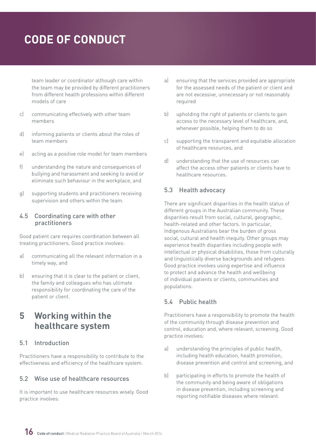<span id="page-15-0"></span>team leader or coordinator although care within the team may be provided by different practitioners from different health professions within different models of care

- c) communicating effectively with other team members
- d) informing patients or clients about the roles of team members
- e) acting as a positive role model for team members
- f) understanding the nature and consequences of bullying and harassment and seeking to avoid or eliminate such behaviour in the workplace, and
- g) supporting students and practitioners receiving supervision and others within the team.

#### 4.5 Coordinating care with other practitioners

Good patient care requires coordination between all treating practitioners. Good practice involves:

- a) communicating all the relevant information in a timely way, and
- b) ensuring that it is clear to the patient or client, the family and colleagues who has ultimate responsibility for coordinating the care of the patient or client.

### **5 Working within the healthcare system**

### 5.1 Introduction

Practitioners have a responsibility to contribute to the effectiveness and efficiency of the healthcare system.

#### 5.2 Wise use of healthcare resources

It is important to use healthcare resources wisely. Good practice involves:

- a) ensuring that the services provided are appropriate for the assessed needs of the patient or client and are not excessive, unnecessary or not reasonably required
- b) upholding the right of patients or clients to gain access to the necessary level of healthcare, and, whenever possible, helping them to do so
- c) supporting the transparent and equitable allocation of healthcare resources, and
- d) understanding that the use of resources can affect the access other patients or clients have to healthcare resources.

### 5.3 Health advocacy

There are significant disparities in the health status of different groups in the Australian community. These disparities result from social, cultural, geographic, health-related and other factors. In particular, Indigenous Australians bear the burden of gross social, cultural and health inequity. Other groups may experience health disparities including people with intellectual or physical disabilities, those from culturally and linguistically diverse backgrounds and refugees. Good practice involves using expertise and influence to protect and advance the health and wellbeing of individual patients or clients, communities and populations.

### 5.4 Public health

Practitioners have a responsibility to promote the health of the community through disease prevention and control, education and, where relevant, screening. Good practice involves:

- a) understanding the principles of public health, including health education, health promotion, disease prevention and control and screening, and
- b) participating in efforts to promote the health of the community and being aware of obligations in disease prevention, including screening and reporting notifiable diseases where relevant.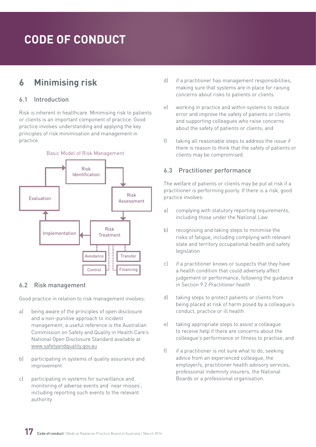### <span id="page-16-0"></span>**6 Minimising risk**

### 6.1 Introduction

Risk is inherent in healthcare. Minimising risk to patients or clients is an important component of practice. Good practice involves understanding and applying the key principles of risk minimisation and management in practice.



### 6.2 Risk management

Good practice in relation to risk management involves:

- a) being aware of the principles of open disclosure and a non-punitive approach to incident management; a useful reference is the Australian Commission on Safety and Quality in Health Care's National Open Disclosure Standard available at [www.safetyandquality.gov.au](file:///C:\Users\helen\AppData\Local\Microsoft\Windows\Temporary Internet Files\Content.Outlook\LLROZHLU\Early and multiple versions\www.safetyandquality.gov.au)
- b) participating in systems of quality assurance and improvement
- c) participating in systems for surveillance and monitoring of adverse events and 'near misses', including reporting such events to the relevant authority
- d) if a practitioner has management responsibilities, making sure that systems are in place for raising concerns about risks to patients or clients
- e) working in practice and within systems to reduce error and improve the safety of patients or clients and supporting colleagues who raise concerns about the safety of patients or clients, and
- f) taking all reasonable steps to address the issue if there is reason to think that the safety of patients or clients may be compromised.

### 6.3 Practitioner performance

The welfare of patients or clients may be put at risk if a practitioner is performing poorly. If there is a risk, good practice involves:

- a) complying with statutory reporting requirements, including those under the National Law
- b) recognising and taking steps to minimise the risks of fatigue, including complying with relevant state and territory occupational health and safety legislation
- c) if a practitioner knows or suspects that they have a health condition that could adversely affect judgement or performance, following the guidance in Section 9.2 *Practitioner health*
- d) taking steps to protect patients or clients from being placed at risk of harm posed by a colleague's conduct, practice or ill health
- e) taking appropriate steps to assist a colleague to receive help if there are concerns about the colleague's performance or fitness to practise, and
- f) if a practitioner is not sure what to do, seeking advice from an experienced colleague, the employer/s, practitioner health advisory services, professional indemnity insurers, the National Boards or a professional organisation.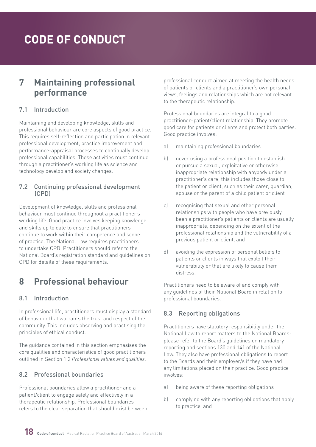### <span id="page-17-0"></span>**7 Maintaining professional performance**

#### 7.1 Introduction

Maintaining and developing knowledge, skills and professional behaviour are core aspects of good practice. This requires self-reflection and participation in relevant professional development, practice improvement and performance-appraisal processes to continually develop professional capabilities. These activities must continue through a practitioner's working life as science and technology develop and society changes.

#### 7.2 Continuing professional development (CPD)

Development of knowledge, skills and professional behaviour must continue throughout a practitioner's working life. Good practice involves keeping knowledge and skills up to date to ensure that practitioners continue to work within their competence and scope of practice. The National Law requires practitioners to undertake CPD. Practitioners should refer to the National Board's registration standard and guidelines on CPD for details of these requirements.

### **8 Professional behaviour**

### 8.1 Introduction

In professional life, practitioners must display a standard of behaviour that warrants the trust and respect of the community. This includes observing and practising the principles of ethical conduct.

The guidance contained in this section emphasises the core qualities and characteristics of good practitioners outlined in Section 1.2 *Professional values and qualities*.

### 8.2 Professional boundaries

Professional boundaries allow a practitioner and a patient/client to engage safely and effectively in a therapeutic relationship. Professional boundaries refers to the clear separation that should exist between professional conduct aimed at meeting the health needs of patients or clients and a practitioner's own personal views, feelings and relationships which are not relevant to the therapeutic relationship.

Professional boundaries are integral to a good practitioner–patient/client relationship. They promote good care for patients or clients and protect both parties. Good practice involves:

- a) maintaining professional boundaries
- b) never using a professional position to establish or pursue a sexual, exploitative or otherwise inappropriate relationship with anybody under a practitioner's care; this includes those close to the patient or client, such as their carer, guardian, spouse or the parent of a child patient or client
- c) recognising that sexual and other personal relationships with people who have previously been a practitioner's patients or clients are usually inappropriate, depending on the extent of the professional relationship and the vulnerability of a previous patient or client, and
- d) avoiding the expression of personal beliefs to patients or clients in ways that exploit their vulnerability or that are likely to cause them distress.

Practitioners need to be aware of and comply with any guidelines of their National Board in relation to professional boundaries.

### 8.3 Reporting obligations

Practitioners have statutory responsibility under the National Law to report matters to the National Boards: please refer to the Board's guidelines on mandatory reporting and sections 130 and 141 of the National Law. They also have professional obligations to report to the Boards and their employer/s if they have had any limitations placed on their practice. Good practice involves:

- a) being aware of these reporting obligations
- b) complying with any reporting obligations that apply to practice, and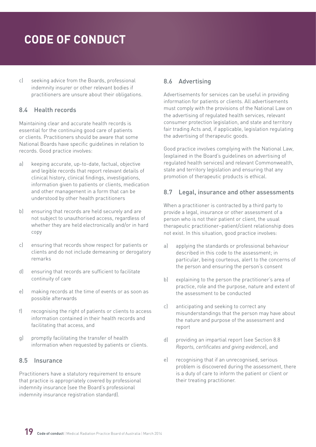<span id="page-18-0"></span>c) seeking advice from the Boards, professional indemnity insurer or other relevant bodies if practitioners are unsure about their obligations.

### 8.4 Health records

Maintaining clear and accurate health records is essential for the continuing good care of patients or clients. Practitioners should be aware that some National Boards have specific guidelines in relation to records. Good practice involves:

- a) keeping accurate, up-to-date, factual, objective and legible records that report relevant details of clinical history, clinical findings, investigations, information given to patients or clients, medication and other management in a form that can be understood by other health practitioners
- b) ensuring that records are held securely and are not subject to unauthorised access, regardless of whether they are held electronically and/or in hard copy
- c) ensuring that records show respect for patients or clients and do not include demeaning or derogatory remarks
- d) ensuring that records are sufficient to facilitate continuity of care
- e) making records at the time of events or as soon as possible afterwards
- f) recognising the right of patients or clients to access information contained in their health records and facilitating that access, and
- g) promptly facilitating the transfer of health information when requested by patients or clients.

### 8.5 Insurance

Practitioners have a statutory requirement to ensure that practice is appropriately covered by professional indemnity insurance (see the Board's professional indemnity insurance registration standard).

### 8.6 Advertising

Advertisements for services can be useful in providing information for patients or clients. All advertisements must comply with the provisions of the National Law on the advertising of regulated health services, relevant consumer protection legislation, and state and territory fair trading Acts and, if applicable, legislation regulating the advertising of therapeutic goods.

Good practice involves complying with the National Law, (explained in the Board's guidelines on advertising of regulated health services) and relevant Commonwealth, state and territory legislation and ensuring that any promotion of therapeutic products is ethical.

### 8.7 Legal, insurance and other assessments

When a practitioner is contracted by a third party to provide a legal, insurance or other assessment of a person who is not their patient or client, the usual therapeutic practitioner–patient/client relationship does not exist. In this situation, good practice involves:

- a) applying the standards or professional behaviour described in this code to the assessment; in particular, being courteous, alert to the concerns of the person and ensuring the person's consent
- b) explaining to the person the practitioner's area of practice, role and the purpose, nature and extent of the assessment to be conducted
- c) anticipating and seeking to correct any misunderstandings that the person may have about the nature and purpose of the assessment and report
- d) providing an impartial report (see Section 8.8 *Reports, certificates and giving evidence*), and
- e) recognising that if an unrecognised, serious problem is discovered during the assessment, there is a duty of care to inform the patient or client or their treating practitioner.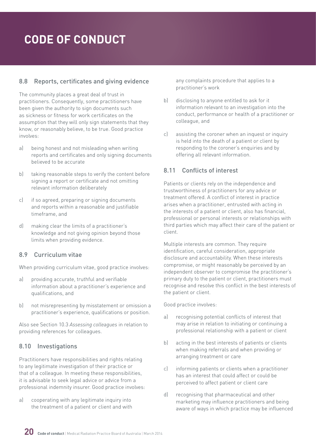### <span id="page-19-0"></span>8.8 Reports, certificates and giving evidence

The community places a great deal of trust in practitioners. Consequently, some practitioners have been given the authority to sign documents such as sickness or fitness for work certificates on the assumption that they will only sign statements that they know, or reasonably believe, to be true. Good practice involves:

- a) being honest and not misleading when writing reports and certificates and only signing documents believed to be accurate
- b) taking reasonable steps to verify the content before signing a report or certificate and not omitting relevant information deliberately
- c) if so agreed, preparing or signing documents and reports within a reasonable and justifiable timeframe, and
- d) making clear the limits of a practitioner's knowledge and not giving opinion beyond those limits when providing evidence.

### 8.9 Curriculum vitae

When providing curriculum vitae, good practice involves:

- a) providing accurate, truthful and verifiable information about a practitioner's experience and qualifications, and
- b) not misrepresenting by misstatement or omission a practitioner's experience, qualifications or position.

Also see Section 10.3 *Assessing colleagues* in relation to providing references for colleagues.

### 8.10 Investigations

Practitioners have responsibilities and rights relating to any legitimate investigation of their practice or that of a colleague. In meeting these responsibilities, it is advisable to seek legal advice or advice from a professional indemnity insurer. Good practice involves:

a) cooperating with any legitimate inquiry into the treatment of a patient or client and with any complaints procedure that applies to a practitioner's work

- b) disclosing to anyone entitled to ask for it information relevant to an investigation into the conduct, performance or health of a practitioner or colleague, and
- c) assisting the coroner when an inquest or inquiry is held into the death of a patient or client by responding to the coroner's enquiries and by offering all relevant information.

### 8.11 Conflicts of interest

Patients or clients rely on the independence and trustworthiness of practitioners for any advice or treatment offered. A conflict of interest in practice arises when a practitioner, entrusted with acting in the interests of a patient or client, also has financial, professional or personal interests or relationships with third parties which may affect their care of the patient or client.

Multiple interests are common. They require identification, careful consideration, appropriate disclosure and accountability. When these interests compromise, or might reasonably be perceived by an independent observer to compromise the practitioner's primary duty to the patient or client, practitioners must recognise and resolve this conflict in the best interests of the patient or client.

- a) recognising potential conflicts of interest that may arise in relation to initiating or continuing a professional relationship with a patient or client
- b) acting in the best interests of patients or clients when making referrals and when providing or arranging treatment or care
- c) informing patients or clients when a practitioner has an interest that could affect or could be perceived to affect patient or client care
- d) recognising that pharmaceutical and other marketing may influence practitioners and being aware of ways in which practice may be influenced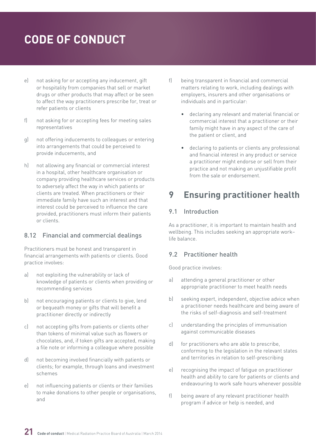- <span id="page-20-0"></span>e) not asking for or accepting any inducement, gift or hospitality from companies that sell or market drugs or other products that may affect or be seen to affect the way practitioners prescribe for, treat or refer patients or clients
- f) not asking for or accepting fees for meeting sales representatives
- g) not offering inducements to colleagues or entering into arrangements that could be perceived to provide inducements, and
- h) not allowing any financial or commercial interest in a hospital, other healthcare organisation or company providing healthcare services or products to adversely affect the way in which patients or clients are treated. When practitioners or their immediate family have such an interest and that interest could be perceived to influence the care provided, practitioners must inform their patients or clients.

### 8.12 Financial and commercial dealings

Practitioners must be honest and transparent in financial arrangements with patients or clients. Good practice involves:

- a) not exploiting the vulnerability or lack of knowledge of patients or clients when providing or recommending services
- b) not encouraging patients or clients to give, lend or bequeath money or gifts that will benefit a practitioner directly or indirectly
- c) not accepting gifts from patients or clients other than tokens of minimal value such as flowers or chocolates, and, if token gifts are accepted, making a file note or informing a colleague where possible
- d) not becoming involved financially with patients or clients; for example, through loans and investment schemes
- e) not influencing patients or clients or their families to make donations to other people or organisations, and
- f) being transparent in financial and commercial matters relating to work, including dealings with employers, insurers and other organisations or individuals and in particular:
	- declaring any relevant and material financial or commercial interest that a practitioner or their family might have in any aspect of the care of the patient or client, and
	- declaring to patients or clients any professional and financial interest in any product or service a practitioner might endorse or sell from their practice and not making an unjustifiable profit from the sale or endorsement.

### **9 Ensuring practitioner health**

#### 9.1 Introduction

As a practitioner, it is important to maintain health and wellbeing. This includes seeking an appropriate work– life balance.

### 9.2 Practitioner health

- a) attending a general practitioner or other appropriate practitioner to meet health needs
- b) seeking expert, independent, objective advice when a practitioner needs healthcare and being aware of the risks of self-diagnosis and self-treatment
- c) understanding the principles of immunisation against communicable diseases
- d) for practitioners who are able to prescribe, conforming to the legislation in the relevant states and territories in relation to self-prescribing
- e) recognising the impact of fatigue on practitioner health and ability to care for patients or clients and endeavouring to work safe hours whenever possible
- f) being aware of any relevant practitioner health program if advice or help is needed, and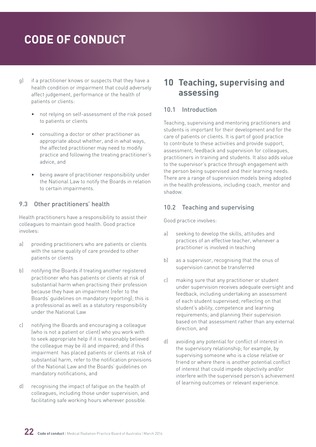- <span id="page-21-0"></span>g) if a practitioner knows or suspects that they have a health condition or impairment that could adversely affect judgement, performance or the health of patients or clients:
	- not relying on self-assessment of the risk posed to patients or clients
	- consulting a doctor or other practitioner as appropriate about whether, and in what ways, the affected practitioner may need to modify practice and following the treating practitioner's advice, and
	- being aware of practitioner responsibility under the National Law to notify the Boards in relation to certain impairments.

#### 9.3 Other practitioners' health

Health practitioners have a responsibility to assist their colleagues to maintain good health. Good practice involves:

- a) providing practitioners who are patients or clients with the same quality of care provided to other patients or clients
- b) notifying the Boards if treating another registered practitioner who has patients or clients at risk of substantial harm when practising their profession because they have an impairment (refer to the Boards' guidelines on mandatory reporting); this is a professional as well as a statutory responsibility under the National Law
- c) notifying the Boards and encouraging a colleague (who is not a patient or client) who you work with to seek appropriate help if it is reasonably believed the colleague may be ill and impaired; and if this impairment has placed patients or clients at risk of substantial harm, refer to the notification provisions of the National Law and the Boards' guidelines on mandatory notifications, and
- d) recognising the impact of fatigue on the health of colleagues, including those under supervision, and facilitating safe working hours wherever possible.

### **10 Teaching, supervising and assessing**

#### 10.1 Introduction

Teaching, supervising and mentoring practitioners and students is important for their development and for the care of patients or clients. It is part of good practice to contribute to these activities and provide support, assessment, feedback and supervision for colleagues, practitioners in training and students. It also adds value to the supervisor's practice through engagement with the person being supervised and their learning needs. There are a range of supervision models being adopted in the health professions, including coach, mentor and shadow.

#### 10.2 Teaching and supervising

- a) seeking to develop the skills, attitudes and practices of an effective teacher, whenever a practitioner is involved in teaching
- b) as a supervisor, recognising that the onus of supervision cannot be transferred
- c) making sure that any practitioner or student under supervision receives adequate oversight and feedback, including undertaking an assessment of each student supervised; reflecting on that student's ability, competence and learning requirements; and planning their supervision based on that assessment rather than any external direction, and
- d) avoiding any potential for conflict of interest in the supervisory relationship; for example, by supervising someone who is a close relative or friend or where there is another potential conflict of interest that could impede objectivity and/or interfere with the supervised person's achievement of learning outcomes or relevant experience.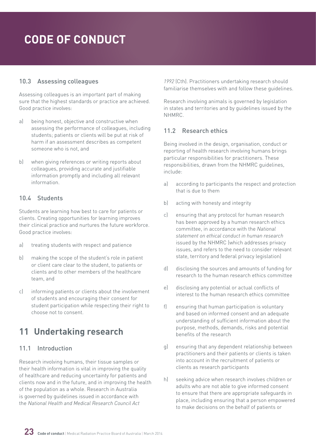### <span id="page-22-0"></span>10.3 Assessing colleagues

Assessing colleagues is an important part of making sure that the highest standards or practice are achieved. Good practice involves:

- a) being honest, objective and constructive when assessing the performance of colleagues, including students; patients or clients will be put at risk of harm if an assessment describes as competent someone who is not, and
- b) when giving references or writing reports about colleagues, providing accurate and justifiable information promptly and including all relevant information.

### 10.4 Students

Students are learning how best to care for patients or clients. Creating opportunities for learning improves their clinical practice and nurtures the future workforce. Good practice involves:

- a) treating students with respect and patience
- b) making the scope of the student's role in patient or client care clear to the student, to patients or clients and to other members of the healthcare team, and
- c) informing patients or clients about the involvement of students and encouraging their consent for student participation while respecting their right to choose not to consent.

### **11 Undertaking research**

### 11.1 Introduction

Research involving humans, their tissue samples or their health information is vital in improving the quality of healthcare and reducing uncertainty for patients and clients now and in the future, and in improving the health of the population as a whole. Research in Australia is governed by guidelines issued in accordance with the *National Health and Medical Research Council Act* 

*1992* (Cth). Practitioners undertaking research should familiarise themselves with and follow these guidelines.

Research involving animals is governed by legislation in states and territories and by guidelines issued by the NHMRC.

### 11.2 Research ethics

Being involved in the design, organisation, conduct or reporting of health research involving humans brings particular responsibilities for practitioners. These responsibilities, drawn from the NHMRC guidelines, include:

- a) according to participants the respect and protection that is due to them
- b) acting with honesty and integrity
- c) ensuring that any protocol for human research has been approved by a human research ethics committee, in accordance with the *National statement on ethical conduct in human research* issued by the NHMRC (which addresses privacy issues, and refers to the need to consider relevant state, territory and federal privacy legislation)
- d) disclosing the sources and amounts of funding for research to the human research ethics committee
- e) disclosing any potential or actual conflicts of interest to the human research ethics committee
- f) ensuring that human participation is voluntary and based on informed consent and an adequate understanding of sufficient information about the purpose, methods, demands, risks and potential benefits of the research
- g) ensuring that any dependent relationship between practitioners and their patients or clients is taken into account in the recruitment of patients or clients as research participants
- h) seeking advice when research involves children or adults who are not able to give informed consent to ensure that there are appropriate safeguards in place, including ensuring that a person empowered to make decisions on the behalf of patients or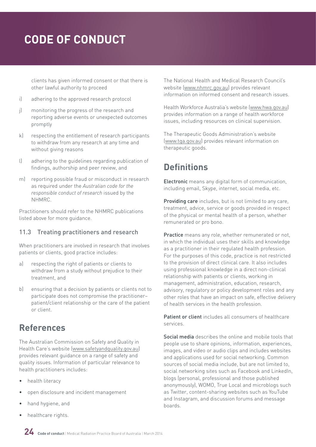<span id="page-23-0"></span>clients has given informed consent or that there is other lawful authority to proceed

- i) adhering to the approved research protocol
- j) monitoring the progress of the research and reporting adverse events or unexpected outcomes promptly
- k) respecting the entitlement of research participants to withdraw from any research at any time and without giving reasons
- l) adhering to the guidelines regarding publication of findings, authorship and peer review, and
- m) reporting possible fraud or misconduct in research as required under the *Australian code for the responsible conduct of research* issued by the NHMRC.

Practitioners should refer to the NHMRC publications listed above for more guidance.

### 11.3 Treating practitioners and research

When practitioners are involved in research that involves patients or clients, good practice includes:

- a) respecting the right of patients or clients to withdraw from a study without prejudice to their treatment, and
- b) ensuring that a decision by patients or clients not to participate does not compromise the practitioner– patient/client relationship or the care of the patient or client.

### **References**

The Australian Commission on Safety and Quality in Health Care's website ([www.safetyandquality.gov.au\)](http://www.safetyandquality.gov.au) provides relevant guidance on a range of safety and quality issues. Information of particular relevance to health practitioners includes:

- health literacy
- open disclosure and incident management
- hand hygiene, and
- healthcare rights.

The National Health and Medical Research Council's website [\(www.nhmrc.gov.au\)](http://www.nhmrc.gov.au) provides relevant information on informed consent and research issues.

Health Workforce Australia's website [\(www.hwa.gov.au\)](http://www.hwa.gov.au) provides information on a range of health workforce issues, including resources on clinical supervision.

The Therapeutic Goods Administration's website [\(www.tga.gov.au\)](http://www.tga.gov.au) provides relevant information on therapeutic goods.

### **Definitions**

Electronic means any digital form of communication, including email, Skype, internet, social media, etc.

Providing care includes, but is not limited to any care, treatment, advice, service or goods provided in respect of the physical or mental health of a person, whether remunerated or pro bono.

Practice means any role, whether remunerated or not, in which the individual uses their skills and knowledge as a practitioner in their regulated health profession. For the purposes of this code, practice is not restricted to the provision of direct clinical care. It also includes using professional knowledge in a direct non-clinical relationship with patients or clients, working in management, administration, education, research, advisory, regulatory or policy development roles and any other roles that have an impact on safe, effective delivery of health services in the health profession.

Patient or client includes all consumers of healthcare services.

Social media describes the online and mobile tools that people use to share opinions, information, experiences, images, and video or audio clips and includes websites and applications used for social networking. Common sources of social media include, but are not limited to, social networking sites such as Facebook and LinkedIn. blogs (personal, professional and those published anonymously), WOMO, True Local and microblogs such as Twitter, content-sharing websites such as YouTube and Instagram, and discussion forums and message boards.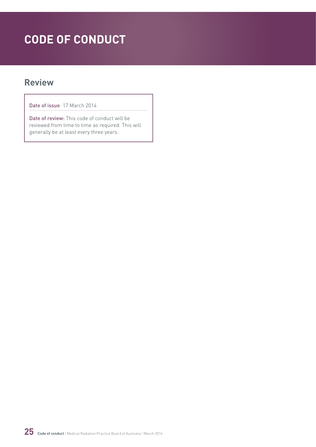### **Review**

Date of issue: 17 March 2014

Date of review: This code of conduct will be reviewed from time to time as required. This will generally be at least every three years.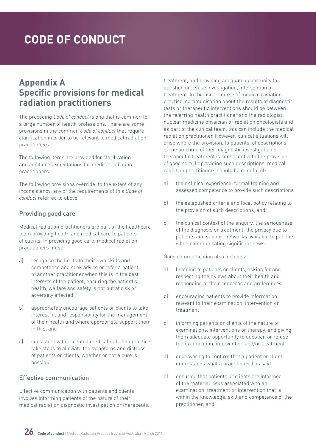### **Appendix A Specific provisions for medical radiation practitioners**

The preceding *Code of conduct* is one that is common to a large number of health professions. There are some provisions in the common *Code of conduct* that require clarification in order to be relevant to medical radiation practitioners.

The following items are provided for clarification and additional expectations for medical radiation practitioners.

The following provisions override, to the extent of any inconsistency, any of the requirements of this *Code of conduct* referred to above.

### Providing good care

Medical radiation practitioners are part of the healthcare team providing health and medical care to patients of clients. In providing good care, medical radiation practitioners must:

- a) recognise the limits to their own skills and competence and seek advice or refer a patient to another practitioner when this is in the best interests of the patient, ensuring the patient's health, welfare and safety is not put at risk or adversely affected
- b) appropriately encourage patients or clients to take interest in, and responsibility for the management of their health and where appropriate support them in this, and
- c) consistent with accepted medical radiation practice, take steps to alleviate the symptoms and distress of patients or clients, whether or not a cure is possible.

### Effective communication

Effective communication with patients and clients involves informing patients of the nature of their medical radiation diagnostic investigation or therapeutic treatment, and providing adequate opportunity to question or refuse investigation, intervention or treatment. In the usual course of medical radiation practice, communication about the results of diagnostic tests or therapeutic interventions should be between the referring health practitioner and the radiologist, nuclear medicine physician or radiation oncologists and as part of the clinical team, this can include the medical radiation practitioner. However, clinical situations will arise where the provision, to patients, of descriptions of the outcome of their diagnostic investigation or therapeutic treatment is consistent with the provision of good care. In providing such descriptions, medical radiation practitioners should be mindful of:

- a) their clinical experience, formal training and assessed competence to provide such descriptions
- b) the established criteria and local policy relating to the provision of such descriptions, and
- c) the clinical context of the enquiry, the seriousness of the diagnosis or treatment, the privacy due to patients and support networks available to patients when communicating significant news.

Good communication also includes:

- a) listening to patients or clients, asking for and respecting their views about their health and responding to their concerns and preferences
- b) encouraging patients to provide information relevant to their examination, intervention or treatment
- c) informing patients or clients of the nature of examinations, interventions or therapy, and giving them adequate opportunity to question or refuse the examination, intervention and/or treatment
- d) endeavoring to confirm that a patient or client understands what a practitioner has said
- e) ensuring that patients or clients are informed of the material risks associated with an examination, treatment or intervention that is within the knowledge, skill and competence of the practitioner, and